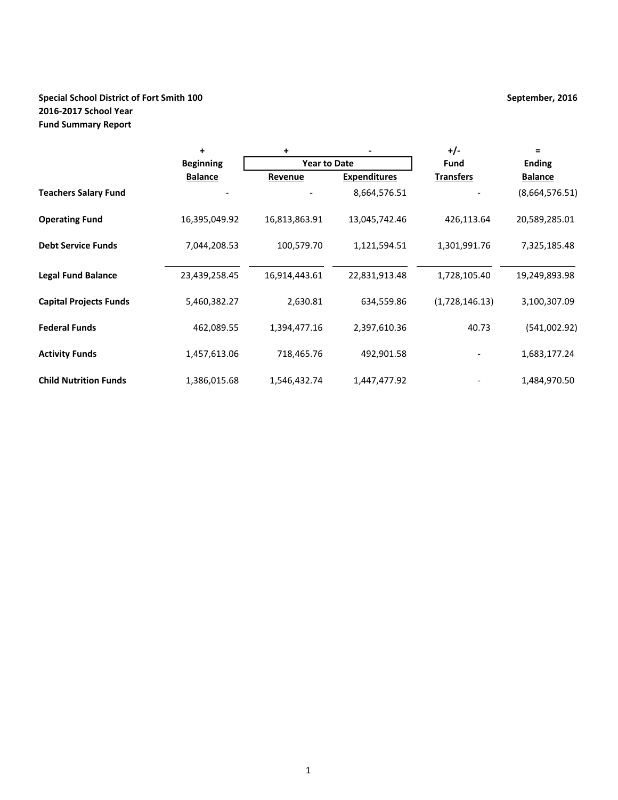# **Special School District of Fort Smith 100 September, 2016 2016-2017 School Year Fund Summary Report**

|                               | +                | $\ddot{}$           |                     | +/-              | $\equiv$       |  |
|-------------------------------|------------------|---------------------|---------------------|------------------|----------------|--|
|                               | <b>Beginning</b> | <b>Year to Date</b> |                     | <b>Fund</b>      | <b>Ending</b>  |  |
|                               | <b>Balance</b>   | Revenue             | <b>Expenditures</b> | <b>Transfers</b> | <b>Balance</b> |  |
| <b>Teachers Salary Fund</b>   |                  |                     | 8,664,576.51        |                  | (8,664,576.51) |  |
| <b>Operating Fund</b>         | 16,395,049.92    | 16,813,863.91       | 13,045,742.46       | 426,113.64       | 20,589,285.01  |  |
| <b>Debt Service Funds</b>     | 7,044,208.53     | 100,579.70          | 1,121,594.51        | 1,301,991.76     | 7,325,185.48   |  |
| <b>Legal Fund Balance</b>     | 23,439,258.45    | 16,914,443.61       | 22,831,913.48       | 1,728,105.40     | 19,249,893.98  |  |
| <b>Capital Projects Funds</b> | 5,460,382.27     | 2,630.81            | 634,559.86          | (1,728,146.13)   | 3,100,307.09   |  |
| <b>Federal Funds</b>          | 462,089.55       | 1,394,477.16        | 2,397,610.36        | 40.73            | (541,002.92)   |  |
| <b>Activity Funds</b>         | 1,457,613.06     | 718,465.76          | 492,901.58          |                  | 1,683,177.24   |  |
| <b>Child Nutrition Funds</b>  | 1,386,015.68     | 1,546,432.74        | 1,447,477.92        |                  | 1,484,970.50   |  |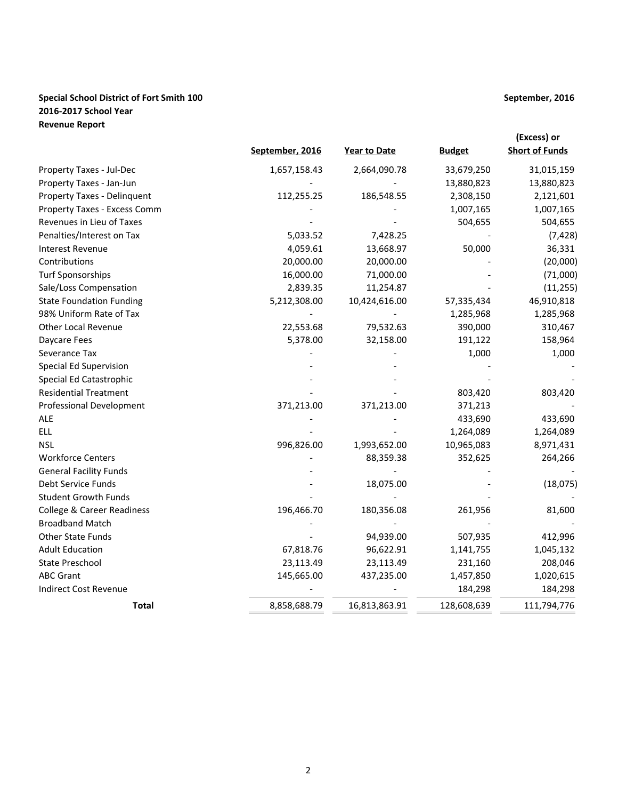## **Special School District of Fort Smith 100 September, 2016 2016-2017 School Year Revenue Report**

| September, 2016 | <b>Year to Date</b> | <b>Budget</b> | (Excess) or<br><b>Short of Funds</b> |
|-----------------|---------------------|---------------|--------------------------------------|
| 1,657,158.43    | 2,664,090.78        | 33,679,250    | 31,015,159                           |
|                 |                     | 13,880,823    | 13,880,823                           |
| 112,255.25      | 186,548.55          | 2,308,150     | 2,121,601                            |
| $\qquad \qquad$ | -                   | 1,007,165     | 1,007,165                            |
|                 | -                   | 504,655       | 504,655                              |
| $   -$          | -                   |               | $\sim$ $\sim$                        |

| Property Taxes - Jul-Dec              | 1,657,158.43 | 2,664,090.78  | 33,679,250  | 31,015,159  |
|---------------------------------------|--------------|---------------|-------------|-------------|
| Property Taxes - Jan-Jun              |              |               | 13,880,823  | 13,880,823  |
| Property Taxes - Delinquent           | 112,255.25   | 186,548.55    | 2,308,150   | 2,121,601   |
| Property Taxes - Excess Comm          |              |               | 1,007,165   | 1,007,165   |
| Revenues in Lieu of Taxes             |              |               | 504,655     | 504,655     |
| Penalties/Interest on Tax             | 5,033.52     | 7,428.25      |             | (7, 428)    |
| <b>Interest Revenue</b>               | 4,059.61     | 13,668.97     | 50,000      | 36,331      |
| Contributions                         | 20,000.00    | 20,000.00     |             | (20,000)    |
| <b>Turf Sponsorships</b>              | 16,000.00    | 71,000.00     |             | (71,000)    |
| Sale/Loss Compensation                | 2,839.35     | 11,254.87     |             | (11, 255)   |
| <b>State Foundation Funding</b>       | 5,212,308.00 | 10,424,616.00 | 57,335,434  | 46,910,818  |
| 98% Uniform Rate of Tax               |              |               | 1,285,968   | 1,285,968   |
| Other Local Revenue                   | 22,553.68    | 79,532.63     | 390,000     | 310,467     |
| Daycare Fees                          | 5,378.00     | 32,158.00     | 191,122     | 158,964     |
| Severance Tax                         |              |               | 1,000       | 1,000       |
| Special Ed Supervision                |              |               |             |             |
| Special Ed Catastrophic               |              |               |             |             |
| <b>Residential Treatment</b>          |              |               | 803,420     | 803,420     |
| Professional Development              | 371,213.00   | 371,213.00    | 371,213     |             |
| <b>ALE</b>                            |              |               | 433,690     | 433,690     |
| <b>ELL</b>                            |              |               | 1,264,089   | 1,264,089   |
| <b>NSL</b>                            | 996,826.00   | 1,993,652.00  | 10,965,083  | 8,971,431   |
| <b>Workforce Centers</b>              |              | 88,359.38     | 352,625     | 264,266     |
| <b>General Facility Funds</b>         |              |               |             |             |
| Debt Service Funds                    |              | 18,075.00     |             | (18,075)    |
| <b>Student Growth Funds</b>           |              |               |             |             |
| <b>College &amp; Career Readiness</b> | 196,466.70   | 180,356.08    | 261,956     | 81,600      |
| <b>Broadband Match</b>                |              |               |             |             |
| Other State Funds                     |              | 94,939.00     | 507,935     | 412,996     |
| <b>Adult Education</b>                | 67,818.76    | 96,622.91     | 1,141,755   | 1,045,132   |
| <b>State Preschool</b>                | 23,113.49    | 23,113.49     | 231,160     | 208,046     |
| <b>ABC Grant</b>                      | 145,665.00   | 437,235.00    | 1,457,850   | 1,020,615   |
| <b>Indirect Cost Revenue</b>          |              |               | 184,298     | 184,298     |
| <b>Total</b>                          | 8,858,688.79 | 16,813,863.91 | 128,608,639 | 111,794,776 |
|                                       |              |               |             |             |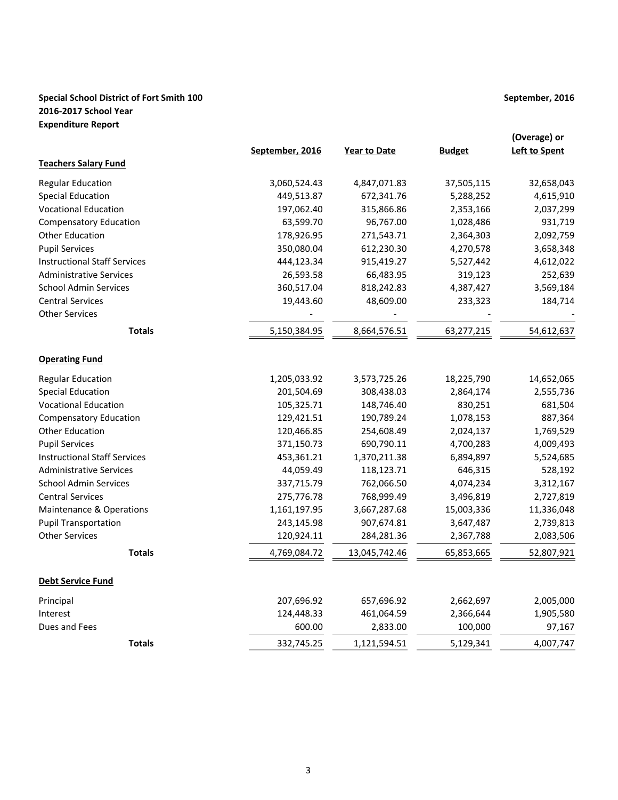# **Special School District of Fort Smith 100 September, 2016 2016-2017 School Year Expenditure Report**

|                                     | September, 2016 | <b>Year to Date</b> | <b>Budget</b> | (Overage) or<br><b>Left to Spent</b> |
|-------------------------------------|-----------------|---------------------|---------------|--------------------------------------|
| <b>Teachers Salary Fund</b>         |                 |                     |               |                                      |
| <b>Regular Education</b>            | 3,060,524.43    | 4,847,071.83        | 37,505,115    | 32,658,043                           |
| <b>Special Education</b>            | 449,513.87      | 672,341.76          | 5,288,252     | 4,615,910                            |
| <b>Vocational Education</b>         | 197,062.40      | 315,866.86          | 2,353,166     | 2,037,299                            |
| <b>Compensatory Education</b>       | 63,599.70       | 96,767.00           | 1,028,486     | 931,719                              |
| <b>Other Education</b>              | 178,926.95      | 271,543.71          | 2,364,303     | 2,092,759                            |
| <b>Pupil Services</b>               | 350,080.04      | 612,230.30          | 4,270,578     | 3,658,348                            |
| <b>Instructional Staff Services</b> | 444,123.34      | 915,419.27          | 5,527,442     | 4,612,022                            |
| <b>Administrative Services</b>      | 26,593.58       | 66,483.95           | 319,123       | 252,639                              |
| <b>School Admin Services</b>        | 360,517.04      | 818,242.83          | 4,387,427     | 3,569,184                            |
| <b>Central Services</b>             | 19,443.60       | 48,609.00           | 233,323       | 184,714                              |
| <b>Other Services</b>               |                 |                     |               |                                      |
| <b>Totals</b>                       | 5,150,384.95    | 8,664,576.51        | 63,277,215    | 54,612,637                           |
| <b>Operating Fund</b>               |                 |                     |               |                                      |
| <b>Regular Education</b>            | 1,205,033.92    | 3,573,725.26        | 18,225,790    | 14,652,065                           |
| <b>Special Education</b>            | 201,504.69      | 308,438.03          | 2,864,174     | 2,555,736                            |
| <b>Vocational Education</b>         | 105,325.71      | 148,746.40          | 830,251       | 681,504                              |
| <b>Compensatory Education</b>       | 129,421.51      | 190,789.24          | 1,078,153     | 887,364                              |
| <b>Other Education</b>              | 120,466.85      | 254,608.49          | 2,024,137     | 1,769,529                            |
| <b>Pupil Services</b>               | 371,150.73      | 690,790.11          | 4,700,283     | 4,009,493                            |
| <b>Instructional Staff Services</b> | 453,361.21      | 1,370,211.38        | 6,894,897     | 5,524,685                            |
| <b>Administrative Services</b>      | 44,059.49       | 118,123.71          | 646,315       | 528,192                              |
| <b>School Admin Services</b>        | 337,715.79      | 762,066.50          | 4,074,234     | 3,312,167                            |
| <b>Central Services</b>             | 275,776.78      | 768,999.49          | 3,496,819     | 2,727,819                            |
| <b>Maintenance &amp; Operations</b> | 1,161,197.95    | 3,667,287.68        | 15,003,336    | 11,336,048                           |
| <b>Pupil Transportation</b>         | 243,145.98      | 907,674.81          | 3,647,487     | 2,739,813                            |
| <b>Other Services</b>               | 120,924.11      | 284,281.36          | 2,367,788     | 2,083,506                            |
| <b>Totals</b>                       | 4,769,084.72    | 13,045,742.46       | 65,853,665    | 52,807,921                           |
| <b>Debt Service Fund</b>            |                 |                     |               |                                      |
| Principal                           | 207,696.92      | 657,696.92          | 2,662,697     | 2,005,000                            |
| Interest                            | 124,448.33      | 461,064.59          | 2,366,644     | 1,905,580                            |
| Dues and Fees                       | 600.00          | 2,833.00            | 100,000       | 97,167                               |
| <b>Totals</b>                       | 332,745.25      | 1,121,594.51        | 5,129,341     | 4,007,747                            |